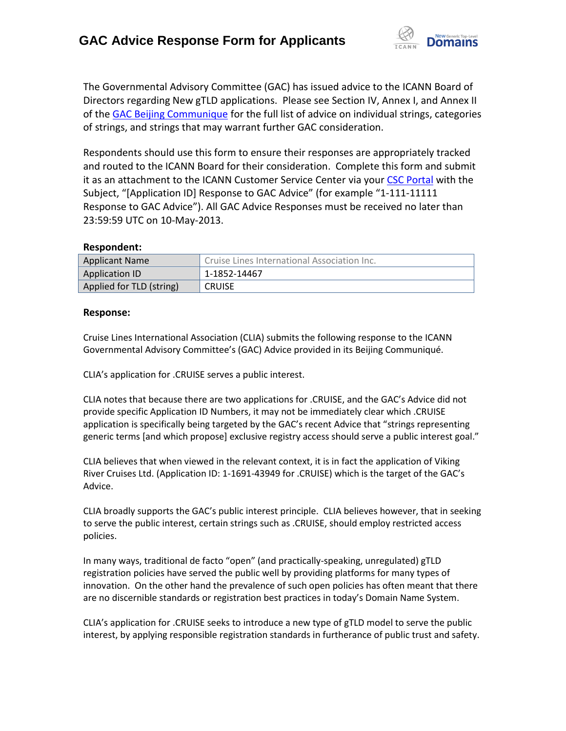

The Governmental Advisory Committee (GAC) has issued advice to the ICANN Board of Directors regarding New gTLD applications. Please see Section IV, Annex I, and Annex II of th[e GAC Beijing Communique](http://www.icann.org/en/news/correspondence/gac-to-board-18apr13-en.pdf) for the full list of advice on individual strings, categories of strings, and strings that may warrant further GAC consideration.

Respondents should use this form to ensure their responses are appropriately tracked and routed to the ICANN Board for their consideration. Complete this form and submit it as an attachment to the ICANN Customer Service Center via your CSC [Portal](https://myicann.secure.force.com/) with the Subject, "[Application ID] Response to GAC Advice" (for example "1-111-11111 Response to GAC Advice"). All GAC Advice Responses must be received no later than 23:59:59 UTC on 10-May-2013.

## **Respondent:**

| <b>Applicant Name</b>    | Cruise Lines International Association Inc. |
|--------------------------|---------------------------------------------|
| <b>Application ID</b>    | 1-1852-14467                                |
| Applied for TLD (string) | <b>CRUISE</b>                               |

## **Response:**

Cruise Lines International Association (CLIA) submits the following response to the ICANN Governmental Advisory Committee's (GAC) Advice provided in its Beijing Communiqué.

CLIA's application for .CRUISE serves a public interest.

CLIA notes that because there are two applications for .CRUISE, and the GAC's Advice did not provide specific Application ID Numbers, it may not be immediately clear which .CRUISE application is specifically being targeted by the GAC's recent Advice that "strings representing generic terms [and which propose] exclusive registry access should serve a public interest goal."

CLIA believes that when viewed in the relevant context, it is in fact the application of Viking River Cruises Ltd. (Application ID: 1-1691-43949 for .CRUISE) which is the target of the GAC's Advice.

CLIA broadly supports the GAC's public interest principle. CLIA believes however, that in seeking to serve the public interest, certain strings such as .CRUISE, should employ restricted access policies.

In many ways, traditional de facto "open" (and practically-speaking, unregulated) gTLD registration policies have served the public well by providing platforms for many types of innovation. On the other hand the prevalence of such open policies has often meant that there are no discernible standards or registration best practices in today's Domain Name System.

CLIA's application for .CRUISE seeks to introduce a new type of gTLD model to serve the public interest, by applying responsible registration standards in furtherance of public trust and safety.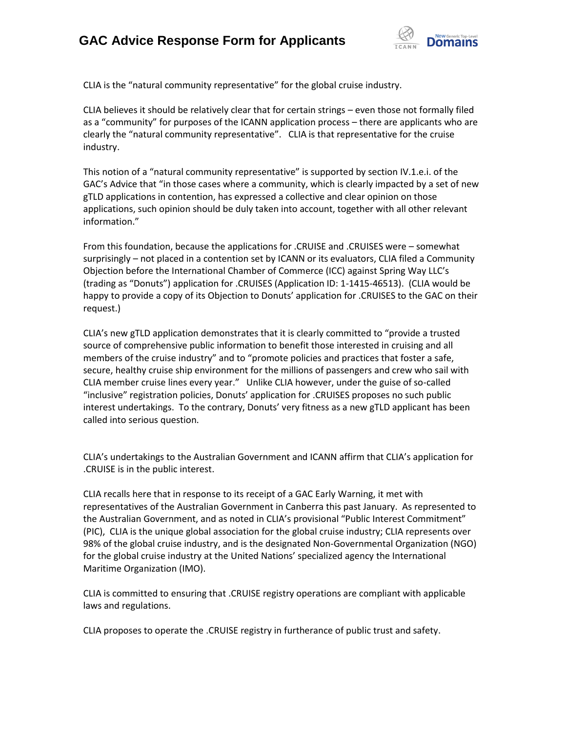## **GAC Advice Response Form for Applicants**



CLIA is the "natural community representative" for the global cruise industry.

CLIA believes it should be relatively clear that for certain strings – even those not formally filed as a "community" for purposes of the ICANN application process – there are applicants who are clearly the "natural community representative". CLIA is that representative for the cruise industry.

This notion of a "natural community representative" is supported by section IV.1.e.i. of the GAC's Advice that "in those cases where a community, which is clearly impacted by a set of new gTLD applications in contention, has expressed a collective and clear opinion on those applications, such opinion should be duly taken into account, together with all other relevant information."

From this foundation, because the applications for .CRUISE and .CRUISES were – somewhat surprisingly – not placed in a contention set by ICANN or its evaluators, CLIA filed a Community Objection before the International Chamber of Commerce (ICC) against Spring Way LLC's (trading as "Donuts") application for .CRUISES (Application ID: 1-1415-46513). (CLIA would be happy to provide a copy of its Objection to Donuts' application for .CRUISES to the GAC on their request.)

CLIA's new gTLD application demonstrates that it is clearly committed to "provide a trusted source of comprehensive public information to benefit those interested in cruising and all members of the cruise industry" and to "promote policies and practices that foster a safe, secure, healthy cruise ship environment for the millions of passengers and crew who sail with CLIA member cruise lines every year." Unlike CLIA however, under the guise of so-called "inclusive" registration policies, Donuts' application for .CRUISES proposes no such public interest undertakings. To the contrary, Donuts' very fitness as a new gTLD applicant has been called into serious question.

CLIA's undertakings to the Australian Government and ICANN affirm that CLIA's application for .CRUISE is in the public interest.

CLIA recalls here that in response to its receipt of a GAC Early Warning, it met with representatives of the Australian Government in Canberra this past January. As represented to the Australian Government, and as noted in CLIA's provisional "Public Interest Commitment" (PIC), CLIA is the unique global association for the global cruise industry; CLIA represents over 98% of the global cruise industry, and is the designated Non-Governmental Organization (NGO) for the global cruise industry at the United Nations' specialized agency the International Maritime Organization (IMO).

CLIA is committed to ensuring that .CRUISE registry operations are compliant with applicable laws and regulations.

CLIA proposes to operate the .CRUISE registry in furtherance of public trust and safety.